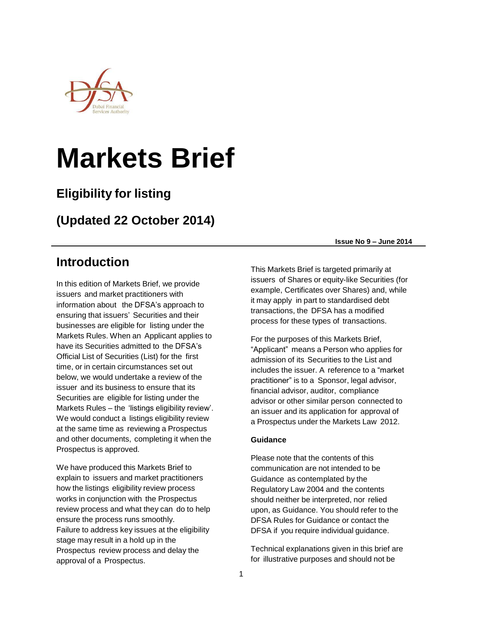

# **Markets Brief**

## **Eligibility for listing**

## **(Updated 22 October 2014)**

## **Introduction**

In this edition of Markets Brief, we provide issuers and market practitioners with information about the DFSA's approach to ensuring that issuers' Securities and their businesses are eligible for listing under the Markets Rules. When an Applicant applies to have its Securities admitted to the DFSA's Official List of Securities (List) for the first time, or in certain circumstances set out below, we would undertake a review of the issuer and its business to ensure that its Securities are eligible for listing under the Markets Rules – the 'listings eligibility review'. We would conduct a listings eligibility review at the same time as reviewing a Prospectus and other documents, completing it when the Prospectus is approved.

We have produced this Markets Brief to explain to issuers and market practitioners how the listings eligibility review process works in conjunction with the Prospectus review process and what they can do to help ensure the process runs smoothly. Failure to address key issues at the eligibility stage may result in a hold up in the Prospectus review process and delay the approval of a Prospectus.

**Issue No 9 – June 2014**

This Markets Brief is targeted primarily at issuers of Shares or equity-like Securities (for example, Certificates over Shares) and, while it may apply in part to standardised debt transactions, the DFSA has a modified process for these types of transactions.

For the purposes of this Markets Brief, "Applicant" means a Person who applies for admission of its Securities to the List and includes the issuer. A reference to a "market practitioner" is to a Sponsor, legal advisor, financial advisor, auditor, compliance advisor or other similar person connected to an issuer and its application for approval of a Prospectus under the Markets Law 2012.

#### **Guidance**

Please note that the contents of this communication are not intended to be Guidance as contemplated by the Regulatory Law 2004 and the contents should neither be interpreted, nor relied upon, as Guidance. You should refer to the DFSA Rules for Guidance or contact the DFSA if you require individual guidance.

Technical explanations given in this brief are for illustrative purposes and should not be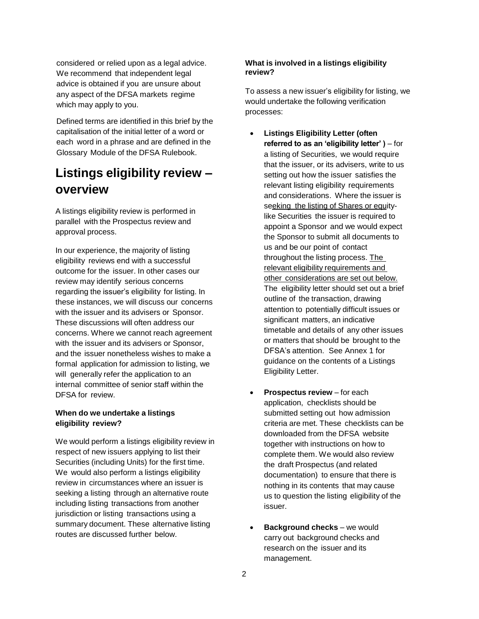considered or relied upon as a legal advice. We recommend that independent legal advice is obtained if you are unsure about any aspect of the DFSA markets regime which may apply to you.

Defined terms are identified in this brief by the capitalisation of the initial letter of a word or each word in a phrase and are defined in the Glossary Module of the DFSA Rulebook.

## **Listings eligibility review – overview**

A listings eligibility review is performed in parallel with the Prospectus review and approval process.

In our experience, the majority of listing eligibility reviews end with a successful outcome for the issuer. In other cases our review may identify serious concerns regarding the issuer's eligibility for listing. In these instances, we will discuss our concerns with the issuer and its advisers or Sponsor. These discussions will often address our concerns. Where we cannot reach agreement with the issuer and its advisers or Sponsor, and the issuer nonetheless wishes to make a formal application for admission to listing, we will generally refer the application to an internal committee of senior staff within the DFSA for review.

#### **When do we undertake a listings eligibility review?**

We would perform a listings eligibility review in respect of new issuers applying to list their Securities (including Units) for the first time. We would also perform a listings eligibility review in circumstances where an issuer is seeking a listing through an alternative route including listing transactions from another jurisdiction or listing transactions using a summary document. These alternative listing routes are discussed further below.

#### **What is involved in a listings eligibility review?**

To assess a new issuer's eligibility for listing, we would undertake the following verification processes:

- **Listings Eligibility Letter (often referred to as an 'eligibility letter' )** – for a listing of Securities, we would require that the issuer, or its advisers, write to us setting out how the issuer satisfies the relevant listing eligibility requirements and considerations. Where the issuer is seeking the listing of Shares or equitylike Securities the issuer is required to appoint a Sponsor and we would expect the Sponsor to submit all documents to us and be our point of contact throughout the listing process. The relevant eligibility requirements and other considerations are set out below. The eligibility letter should set out a brief outline of the transaction, drawing attention to potentially difficult issues or significant matters, an indicative timetable and details of any other issues or matters that should be brought to the DFSA's attention. See Annex 1 for guidance on the contents of a Listings Eligibility Letter.
- **Prospectus review** for each application, checklists should be submitted setting out how admission criteria are met. These checklists can be downloaded from the DFSA website together with instructions on how to complete them. We would also review the draft Prospectus (and related documentation) to ensure that there is nothing in its contents that may cause us to question the listing eligibility of the issuer.
- **Background checks** we would carry out background checks and research on the issuer and its management.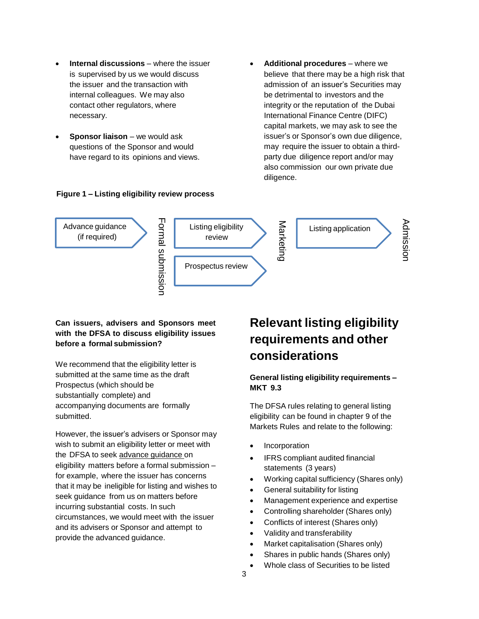- **Internal discussions** where the issuer is supervised by us we would discuss the issuer and the transaction with internal colleagues. We may also contact other regulators, where necessary.
- **Sponsor liaison** we would ask questions of the Sponsor and would have regard to its opinions and views.

#### **Figure 1 – Listing eligibility review process**

 **Additional procedures** – where we believe that there may be a high risk that admission of an issuer's Securities may be detrimental to investors and the integrity or the reputation of the Dubai International Finance Centre (DIFC) capital markets, we may ask to see the issuer's or Sponsor's own due diligence, may require the issuer to obtain a thirdparty due diligence report and/or may also commission our own private due diligence.



#### **Can issuers, advisers and Sponsors meet with the DFSA to discuss eligibility issues before a formal submission?**

We recommend that the eligibility letter is submitted at the same time as the draft Prospectus (which should be substantially complete) and accompanying documents are formally submitted.

However, the issuer's advisers or Sponsor may wish to submit an eligibility letter or meet with the DFSA to seek advance guidance on eligibility matters before a formal submission – for example, where the issuer has concerns that it may be ineligible for listing and wishes to seek guidance from us on matters before incurring substantial costs. In such circumstances, we would meet with the issuer and its advisers or Sponsor and attempt to provide the advanced guidance.

## **Relevant listing eligibility requirements and other considerations**

#### **General listing eligibility requirements – MKT 9.3**

The DFSA rules relating to general listing eligibility can be found in chapter 9 of the Markets Rules and relate to the following:

- Incorporation
- IFRS compliant audited financial statements (3 years)
- Working capital sufficiency (Shares only)
- General suitability for listing
- Management experience and expertise
- Controlling shareholder (Shares only)
- Conflicts of interest (Shares only)
- Validity and transferability
- Market capitalisation (Shares only)
- Shares in public hands (Shares only)
- Whole class of Securities to be listed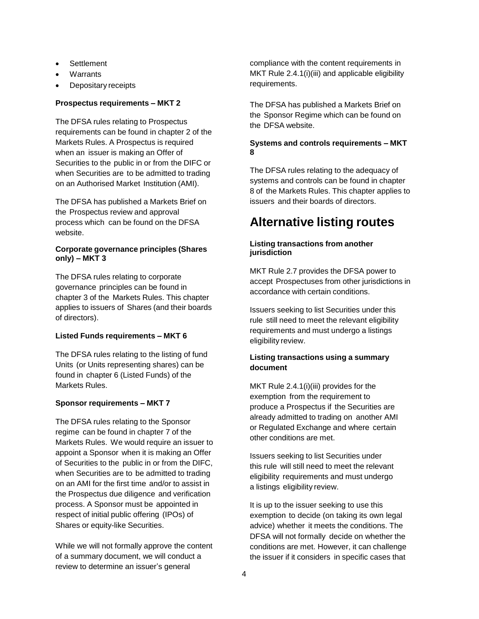- **Settlement**
- Warrants
- Depositary receipts

#### **Prospectus requirements – MKT 2**

The DFSA rules relating to Prospectus requirements can be found in chapter 2 of the Markets Rules. A Prospectus is required when an issuer is making an Offer of Securities to the public in or from the DIFC or when Securities are to be admitted to trading on an Authorised Market Institution (AMI).

The DFSA has published a Markets Brief on the Prospectus review and approval process which can be found on the DFSA website.

#### **Corporate governance principles (Shares only) – MKT 3**

The DFSA rules relating to corporate governance principles can be found in chapter 3 of the Markets Rules. This chapter applies to issuers of Shares (and their boards of directors).

#### **Listed Funds requirements – MKT 6**

The DFSA rules relating to the listing of fund Units (or Units representing shares) can be found in chapter 6 (Listed Funds) of the Markets Rules.

#### **Sponsor requirements – MKT 7**

The DFSA rules relating to the Sponsor regime can be found in chapter 7 of the Markets Rules. We would require an issuer to appoint a Sponsor when it is making an Offer of Securities to the public in or from the DIFC, when Securities are to be admitted to trading on an AMI for the first time and/or to assist in the Prospectus due diligence and verification process. A Sponsor must be appointed in respect of initial public offering (IPOs) of Shares or equity-like Securities.

While we will not formally approve the content of a summary document, we will conduct a review to determine an issuer's general

compliance with the content requirements in MKT Rule 2.4.1(i)(iii) and applicable eligibility requirements.

The DFSA has published a Markets Brief on the Sponsor Regime which can be found on the DFSA website.

#### **Systems and controls requirements – MKT 8**

The DFSA rules relating to the adequacy of systems and controls can be found in chapter 8 of the Markets Rules. This chapter applies to issuers and their boards of directors.

## **Alternative listing routes**

#### **Listing transactions from another jurisdiction**

MKT Rule 2.7 provides the DFSA power to accept Prospectuses from other jurisdictions in accordance with certain conditions.

Issuers seeking to list Securities under this rule still need to meet the relevant eligibility requirements and must undergo a listings eligibility review.

#### **Listing transactions using a summary document**

MKT Rule 2.4.1(i)(iii) provides for the exemption from the requirement to produce a Prospectus if the Securities are already admitted to trading on another AMI or Regulated Exchange and where certain other conditions are met.

Issuers seeking to list Securities under this rule will still need to meet the relevant eligibility requirements and must undergo a listings eligibility review.

It is up to the issuer seeking to use this exemption to decide (on taking its own legal advice) whether it meets the conditions. The DFSA will not formally decide on whether the conditions are met. However, it can challenge the issuer if it considers in specific cases that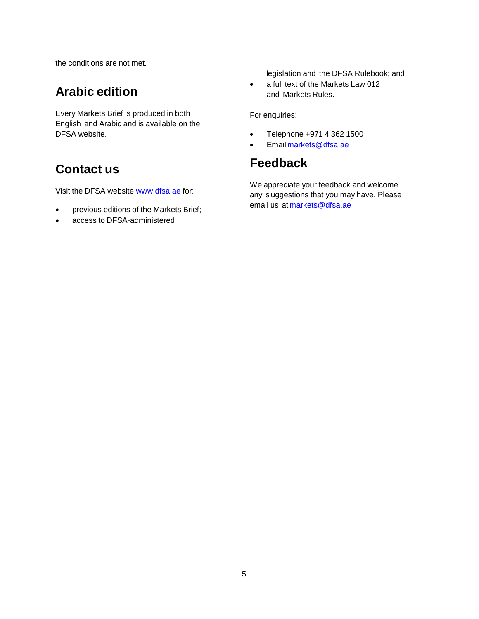the conditions are not met.

## **Arabic edition**

Every Markets Brief is produced in both English and Arabic and is available on the DFSA website.

## **Contact us**

Visit the DFSA website [www.dfsa.ae](http://www.dfsa.ae/) for:

- previous editions of the Markets Brief;
- access to DFSA-administered

legislation and the DFSA Rulebook; and

• a full text of the Markets Law 012 and Markets Rules.

For enquiries:

- Telephone +971 4 362 1500
- Email [markets@dfsa.ae](mailto:markets@dfsa.ae)

## **Feedback**

We appreciate your feedback and welcome any s uggestions that you may have. Please email us at [markets@dfsa.ae](mailto:markets@dfsa.ae)